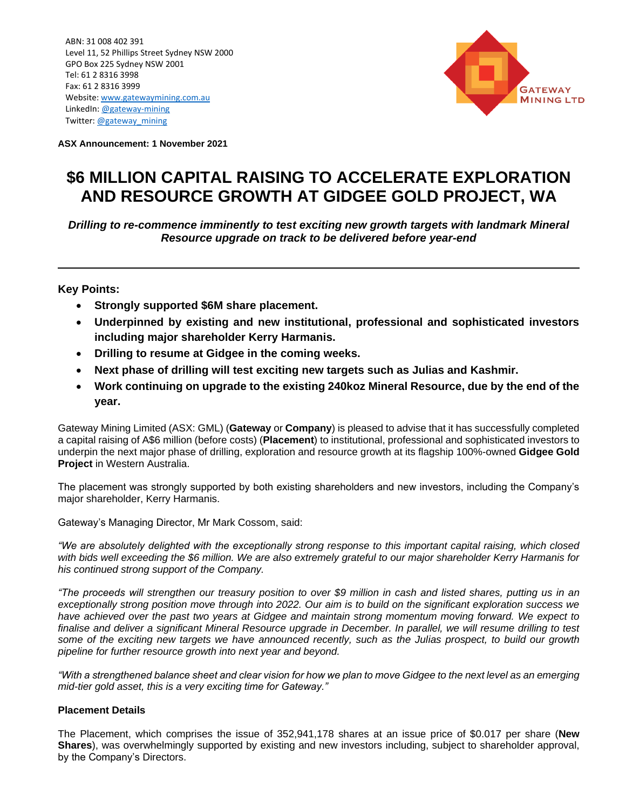ABN: 31 008 402 391 Level 11, 52 Phillips Street Sydney NSW 2000 GPO Box 225 Sydney NSW 2001 Tel: 61 2 8316 3998 Fax: 61 2 8316 3999 Website: [www.gatewaymining.com.au](http://www.gatewaymining.com.au/) LinkedIn[: @gateway-mining](https://www.linkedin.com/company/7726601/admin/) Twitter: [@gateway\\_mining](https://twitter.com/gateway_mining)



**ASX Announcement: 1 November 2021**

# **\$6 MILLION CAPITAL RAISING TO ACCELERATE EXPLORATION AND RESOURCE GROWTH AT GIDGEE GOLD PROJECT, WA**

*Drilling to re-commence imminently to test exciting new growth targets with landmark Mineral Resource upgrade on track to be delivered before year-end*

# **Key Points:**

- **Strongly supported \$6M share placement.**
- **Underpinned by existing and new institutional, professional and sophisticated investors including major shareholder Kerry Harmanis.**
- **Drilling to resume at Gidgee in the coming weeks.**
- **Next phase of drilling will test exciting new targets such as Julias and Kashmir.**
- **Work continuing on upgrade to the existing 240koz Mineral Resource, due by the end of the year.**

Gateway Mining Limited (ASX: GML) (**Gateway** or **Company**) is pleased to advise that it has successfully completed a capital raising of A\$6 million (before costs) (**Placement**) to institutional, professional and sophisticated investors to underpin the next major phase of drilling, exploration and resource growth at its flagship 100%-owned **Gidgee Gold Project** in Western Australia.

The placement was strongly supported by both existing shareholders and new investors, including the Company's major shareholder, Kerry Harmanis.

Gateway's Managing Director, Mr Mark Cossom, said:

*"We are absolutely delighted with the exceptionally strong response to this important capital raising, which closed with bids well exceeding the \$6 million. We are also extremely grateful to our major shareholder Kerry Harmanis for his continued strong support of the Company.*

*"The proceeds will strengthen our treasury position to over \$9 million in cash and listed shares, putting us in an exceptionally strong position move through into 2022. Our aim is to build on the significant exploration success we have achieved over the past two years at Gidgee and maintain strong momentum moving forward. We expect to finalise and deliver a significant Mineral Resource upgrade in December. In parallel, we will resume drilling to test some of the exciting new targets we have announced recently, such as the Julias prospect, to build our growth pipeline for further resource growth into next year and beyond.* 

*"With a strengthened balance sheet and clear vision for how we plan to move Gidgee to the next level as an emerging mid-tier gold asset, this is a very exciting time for Gateway."*

# **Placement Details**

The Placement, which comprises the issue of 352,941,178 shares at an issue price of \$0.017 per share (**New Shares**), was overwhelmingly supported by existing and new investors including, subject to shareholder approval, by the Company's Directors.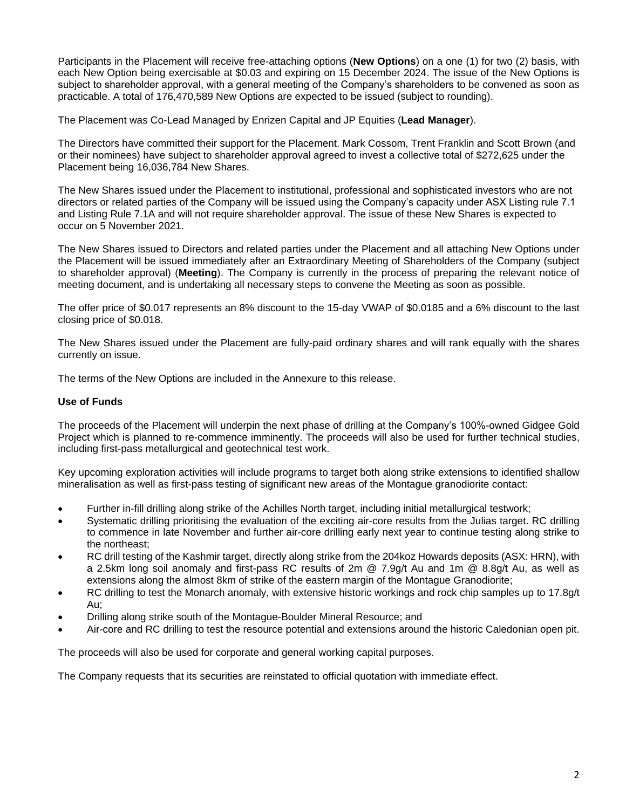Participants in the Placement will receive free-attaching options (**New Options**) on a one (1) for two (2) basis, with each New Option being exercisable at \$0.03 and expiring on 15 December 2024. The issue of the New Options is subject to shareholder approval, with a general meeting of the Company's shareholders to be convened as soon as practicable. A total of 176,470,589 New Options are expected to be issued (subject to rounding).

The Placement was Co-Lead Managed by Enrizen Capital and JP Equities (**Lead Manager**).

The Directors have committed their support for the Placement. Mark Cossom, Trent Franklin and Scott Brown (and or their nominees) have subject to shareholder approval agreed to invest a collective total of \$272,625 under the Placement being 16,036,784 New Shares.

The New Shares issued under the Placement to institutional, professional and sophisticated investors who are not directors or related parties of the Company will be issued using the Company's capacity under ASX Listing rule 7.1 and Listing Rule 7.1A and will not require shareholder approval. The issue of these New Shares is expected to occur on 5 November 2021.

The New Shares issued to Directors and related parties under the Placement and all attaching New Options under the Placement will be issued immediately after an Extraordinary Meeting of Shareholders of the Company (subject to shareholder approval) (**Meeting**). The Company is currently in the process of preparing the relevant notice of meeting document, and is undertaking all necessary steps to convene the Meeting as soon as possible.

The offer price of \$0.017 represents an 8% discount to the 15-day VWAP of \$0.0185 and a 6% discount to the last closing price of \$0.018.

The New Shares issued under the Placement are fully-paid ordinary shares and will rank equally with the shares currently on issue.

The terms of the New Options are included in the Annexure to this release.

## **Use of Funds**

The proceeds of the Placement will underpin the next phase of drilling at the Company's 100%-owned Gidgee Gold Project which is planned to re-commence imminently. The proceeds will also be used for further technical studies, including first-pass metallurgical and geotechnical test work.

Key upcoming exploration activities will include programs to target both along strike extensions to identified shallow mineralisation as well as first-pass testing of significant new areas of the Montague granodiorite contact:

- Further in-fill drilling along strike of the Achilles North target, including initial metallurgical testwork;
- Systematic drilling prioritising the evaluation of the exciting air-core results from the Julias target. RC drilling to commence in late November and further air-core drilling early next year to continue testing along strike to the northeast;
- RC drill testing of the Kashmir target, directly along strike from the 204koz Howards deposits (ASX: HRN), with a 2.5km long soil anomaly and first-pass RC results of 2m @ 7.9g/t Au and 1m @ 8.8g/t Au, as well as extensions along the almost 8km of strike of the eastern margin of the Montague Granodiorite;
- RC drilling to test the Monarch anomaly, with extensive historic workings and rock chip samples up to 17.8g/t Au;
- Drilling along strike south of the Montague-Boulder Mineral Resource; and
- Air-core and RC drilling to test the resource potential and extensions around the historic Caledonian open pit.

The proceeds will also be used for corporate and general working capital purposes.

The Company requests that its securities are reinstated to official quotation with immediate effect.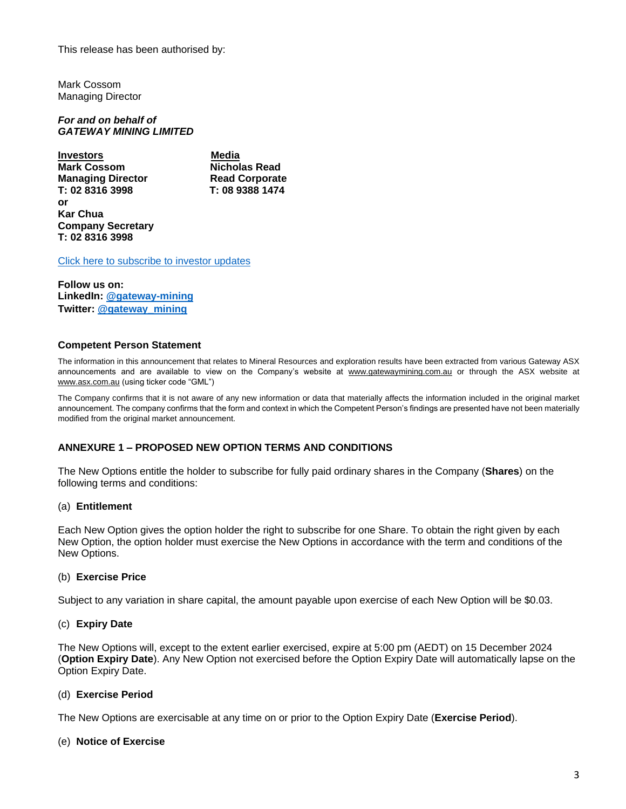This release has been authorised by:

Mark Cossom Managing Director

*For and on behalf of GATEWAY MINING LIMITED*

**Investors** Media **Mark Cossom Communist Cossom Nicholas Read Nicholas Read Managing Director 6.1 Read Corporate<br>T: 02 8316 3998 T: 08 9388 1474** T: 02 8316 3998 **or Kar Chua Company Secretary T: 02 8316 3998** 

[Click here to subscribe to investor updates](http://eepurl.com/hHPfxr)

**Follow us on: LinkedIn: [@gateway-mining](https://www.linkedin.com/company/7726601/admin/) Twitter: [@gateway\\_mining](https://twitter.com/gateway_mining)**

## **Competent Person Statement**

The information in this announcement that relates to Mineral Resources and exploration results have been extracted from various Gateway ASX announcements and are available to view on the Company's website at [www.gatewaymining.com.au](http://www.gatewaymining.com.au/) or through the ASX website at [www.asx.com.au](http://www.asx.com.au/) (using ticker code "GML")

The Company confirms that it is not aware of any new information or data that materially affects the information included in the original market announcement. The company confirms that the form and context in which the Competent Person's findings are presented have not been materially modified from the original market announcement.

# **ANNEXURE 1 – PROPOSED NEW OPTION TERMS AND CONDITIONS**

The New Options entitle the holder to subscribe for fully paid ordinary shares in the Company (**Shares**) on the following terms and conditions:

## (a) **Entitlement**

Each New Option gives the option holder the right to subscribe for one Share. To obtain the right given by each New Option, the option holder must exercise the New Options in accordance with the term and conditions of the New Options.

## (b) **Exercise Price**

Subject to any variation in share capital, the amount payable upon exercise of each New Option will be \$0.03.

## (c) **Expiry Date**

The New Options will, except to the extent earlier exercised, expire at 5:00 pm (AEDT) on 15 December 2024 (**Option Expiry Date**). Any New Option not exercised before the Option Expiry Date will automatically lapse on the Option Expiry Date.

## (d) **Exercise Period**

The New Options are exercisable at any time on or prior to the Option Expiry Date (**Exercise Period**).

## (e) **Notice of Exercise**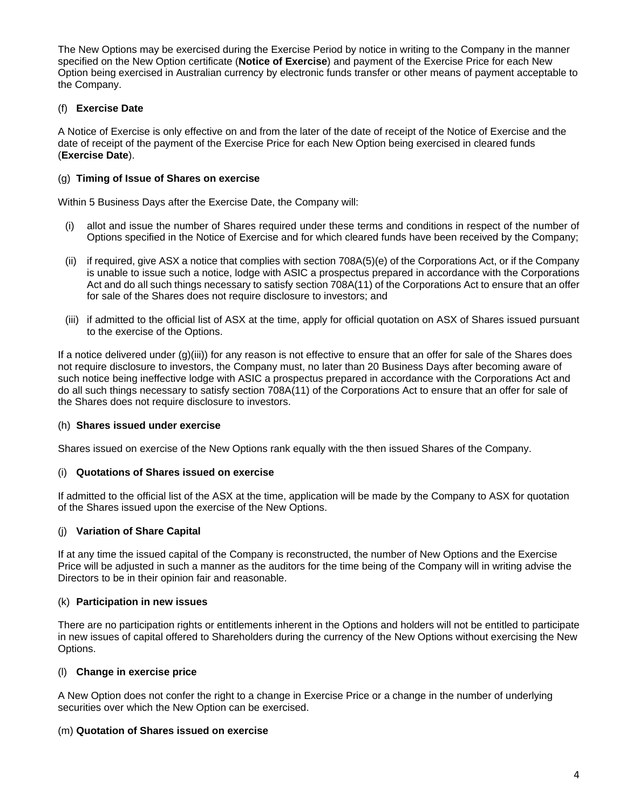The New Options may be exercised during the Exercise Period by notice in writing to the Company in the manner specified on the New Option certificate (**Notice of Exercise**) and payment of the Exercise Price for each New Option being exercised in Australian currency by electronic funds transfer or other means of payment acceptable to the Company.

# (f) **Exercise Date**

A Notice of Exercise is only effective on and from the later of the date of receipt of the Notice of Exercise and the date of receipt of the payment of the Exercise Price for each New Option being exercised in cleared funds (**Exercise Date**).

## (g) **Timing of Issue of Shares on exercise**

Within 5 Business Days after the Exercise Date, the Company will:

- (i) allot and issue the number of Shares required under these terms and conditions in respect of the number of Options specified in the Notice of Exercise and for which cleared funds have been received by the Company;
- (ii) if required, give ASX a notice that complies with section 708A(5)(e) of the Corporations Act, or if the Company is unable to issue such a notice, lodge with ASIC a prospectus prepared in accordance with the Corporations Act and do all such things necessary to satisfy section 708A(11) of the Corporations Act to ensure that an offer for sale of the Shares does not require disclosure to investors; and
- (iii) if admitted to the official list of ASX at the time, apply for official quotation on ASX of Shares issued pursuant to the exercise of the Options.

If a notice delivered under  $(q)(iii)$  for any reason is not effective to ensure that an offer for sale of the Shares does not require disclosure to investors, the Company must, no later than 20 Business Days after becoming aware of such notice being ineffective lodge with ASIC a prospectus prepared in accordance with the Corporations Act and do all such things necessary to satisfy section 708A(11) of the Corporations Act to ensure that an offer for sale of the Shares does not require disclosure to investors.

## (h) **Shares issued under exercise**

Shares issued on exercise of the New Options rank equally with the then issued Shares of the Company.

## (i) **Quotations of Shares issued on exercise**

If admitted to the official list of the ASX at the time, application will be made by the Company to ASX for quotation of the Shares issued upon the exercise of the New Options.

# (j) **Variation of Share Capital**

If at any time the issued capital of the Company is reconstructed, the number of New Options and the Exercise Price will be adjusted in such a manner as the auditors for the time being of the Company will in writing advise the Directors to be in their opinion fair and reasonable.

# (k) **Participation in new issues**

There are no participation rights or entitlements inherent in the Options and holders will not be entitled to participate in new issues of capital offered to Shareholders during the currency of the New Options without exercising the New Options.

## (l) **Change in exercise price**

A New Option does not confer the right to a change in Exercise Price or a change in the number of underlying securities over which the New Option can be exercised.

# (m) **Quotation of Shares issued on exercise**